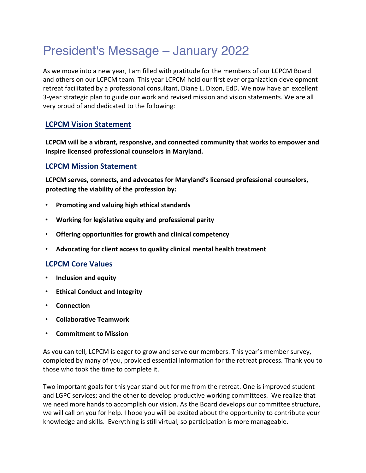# President's Message – January 2022

As we move into a new year, I am filled with gratitude for the members of our LCPCM Board and others on our LCPCM team. This year LCPCM held our first ever organization development retreat facilitated by a professional consultant, Diane L. Dixon, EdD. We now have an excellent 3-year strategic plan to guide our work and revised mission and vision statements. We are all very proud of and dedicated to the following:

### **LCPCM Vision Statement**

**LCPCM will be a vibrant, responsive, and connected community that works to empower and inspire licensed professional counselors in Maryland.** 

#### **LCPCM Mission Statement**

**LCPCM serves, connects, and advocates for Maryland's licensed professional counselors, protecting the viability of the profession by:** 

- **Promoting and valuing high ethical standards**
- **Working for legislative equity and professional parity**
- **Offering opportunities for growth and clinical competency**
- **Advocating for client access to quality clinical mental health treatment**

#### **LCPCM Core Values**

- **Inclusion and equity**
- **Ethical Conduct and Integrity**
- **Connection**
- **Collaborative Teamwork**
- **Commitment to Mission**

As you can tell, LCPCM is eager to grow and serve our members. This year's member survey, completed by many of you, provided essential information for the retreat process. Thank you to those who took the time to complete it.

Two important goals for this year stand out for me from the retreat. One is improved student and LGPC services; and the other to develop productive working committees. We realize that we need more hands to accomplish our vision. As the Board develops our committee structure, we will call on you for help. I hope you will be excited about the opportunity to contribute your knowledge and skills. Everything is still virtual, so participation is more manageable.